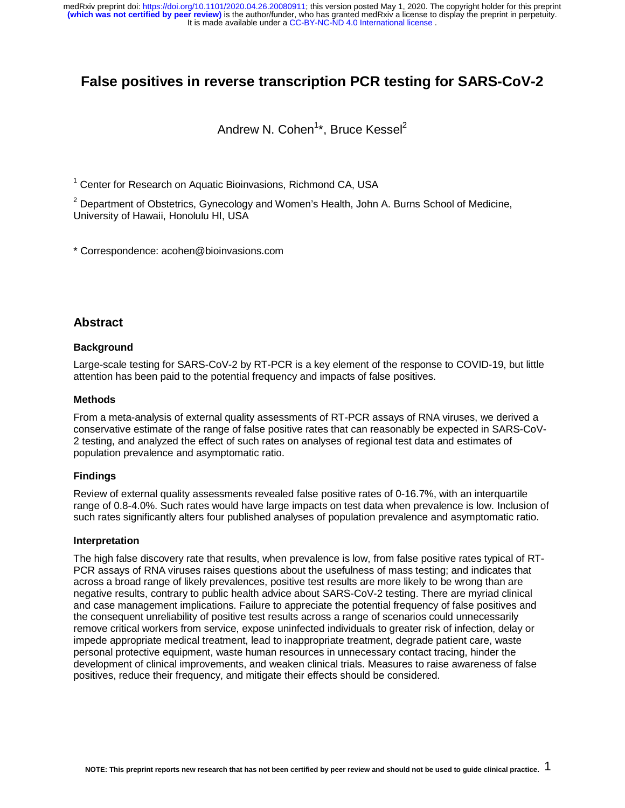# **False positives in reverse transcription PCR testing for SARS-CoV-2**

# Andrew N. Cohen<sup>1</sup>\*, Bruce Kessel<sup>2</sup>

<sup>1</sup> Center for Research on Aquatic Bioinvasions, Richmond CA, USA

 $2$  Department of Obstetrics, Gynecology and Women's Health, John A. Burns School of Medicine, University of Hawaii, Honolulu HI, USA

\* Correspondence: acohen@bioinvasions.com

## **Abstract**

#### **Background**

Large-scale testing for SARS-CoV-2 by RT-PCR is a key element of the response to COVID-19, but little attention has been paid to the potential frequency and impacts of false positives.

### **Methods**

From a meta-analysis of external quality assessments of RT-PCR assays of RNA viruses, we derived a conservative estimate of the range of false positive rates that can reasonably be expected in SARS-CoV-2 testing, and analyzed the effect of such rates on analyses of regional test data and estimates of population prevalence and asymptomatic ratio.

### **Findings**

Review of external quality assessments revealed false positive rates of 0-16.7%, with an interquartile range of 0.8-4.0%. Such rates would have large impacts on test data when prevalence is low. Inclusion of such rates significantly alters four published analyses of population prevalence and asymptomatic ratio.

#### **Interpretation**

The high false discovery rate that results, when prevalence is low, from false positive rates typical of RT-PCR assays of RNA viruses raises questions about the usefulness of mass testing; and indicates that across a broad range of likely prevalences, positive test results are more likely to be wrong than are negative results, contrary to public health advice about SARS-CoV-2 testing. There are myriad clinical and case management implications. Failure to appreciate the potential frequency of false positives and the consequent unreliability of positive test results across a range of scenarios could unnecessarily remove critical workers from service, expose uninfected individuals to greater risk of infection, delay or impede appropriate medical treatment, lead to inappropriate treatment, degrade patient care, waste personal protective equipment, waste human resources in unnecessary contact tracing, hinder the development of clinical improvements, and weaken clinical trials. Measures to raise awareness of false positives, reduce their frequency, and mitigate their effects should be considered.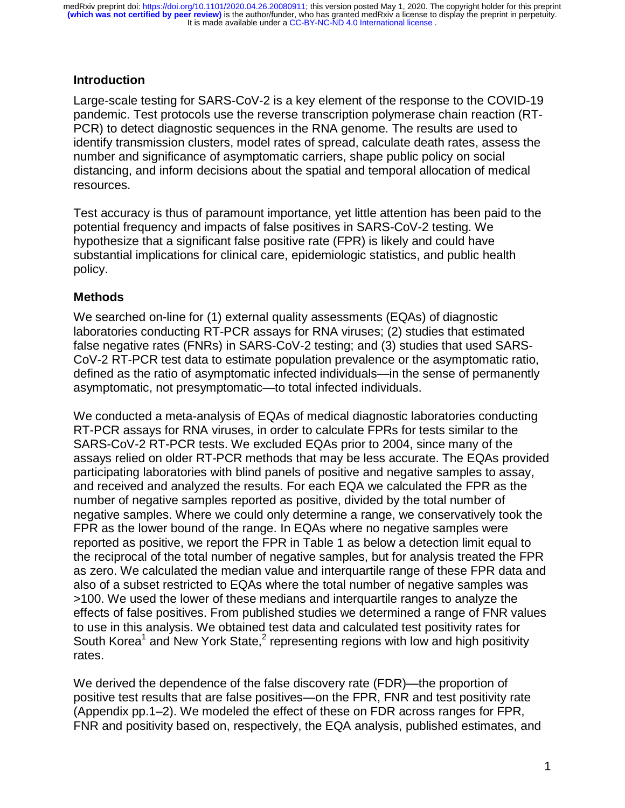# **Introduction**

Large-scale testing for SARS-CoV-2 is a key element of the response to the COVID-19 pandemic. Test protocols use the reverse transcription polymerase chain reaction (RT-PCR) to detect diagnostic sequences in the RNA genome. The results are used to identify transmission clusters, model rates of spread, calculate death rates, assess the number and significance of asymptomatic carriers, shape public policy on social distancing, and inform decisions about the spatial and temporal allocation of medical resources.

Test accuracy is thus of paramount importance, yet little attention has been paid to the potential frequency and impacts of false positives in SARS-CoV-2 testing. We hypothesize that a significant false positive rate (FPR) is likely and could have substantial implications for clinical care, epidemiologic statistics, and public health policy.

## **Methods**

We searched on-line for (1) external quality assessments (EQAs) of diagnostic laboratories conducting RT-PCR assays for RNA viruses; (2) studies that estimated false negative rates (FNRs) in SARS-CoV-2 testing; and (3) studies that used SARS-CoV-2 RT-PCR test data to estimate population prevalence or the asymptomatic ratio, defined as the ratio of asymptomatic infected individuals—in the sense of permanently asymptomatic, not presymptomatic—to total infected individuals.

We conducted a meta-analysis of EQAs of medical diagnostic laboratories conducting RT-PCR assays for RNA viruses, in order to calculate FPRs for tests similar to the SARS-CoV-2 RT-PCR tests. We excluded EQAs prior to 2004, since many of the assays relied on older RT-PCR methods that may be less accurate. The EQAs provided participating laboratories with blind panels of positive and negative samples to assay, and received and analyzed the results. For each EQA we calculated the FPR as the number of negative samples reported as positive, divided by the total number of negative samples. Where we could only determine a range, we conservatively took the FPR as the lower bound of the range. In EQAs where no negative samples were reported as positive, we report the FPR in Table 1 as below a detection limit equal to the reciprocal of the total number of negative samples, but for analysis treated the FPR as zero. We calculated the median value and interquartile range of these FPR data and also of a subset restricted to EQAs where the total number of negative samples was >100. We used the lower of these medians and interquartile ranges to analyze the effects of false positives. From published studies we determined a range of FNR values to use in this analysis. We obtained test data and calculated test positivity rates for South Korea<sup>1</sup> and New York State,<sup>2</sup> representing regions with low and high positivity rates.

We derived the dependence of the false discovery rate (FDR)—the proportion of positive test results that are false positives—on the FPR, FNR and test positivity rate (Appendix pp.1–2). We modeled the effect of these on FDR across ranges for FPR, FNR and positivity based on, respectively, the EQA analysis, published estimates, and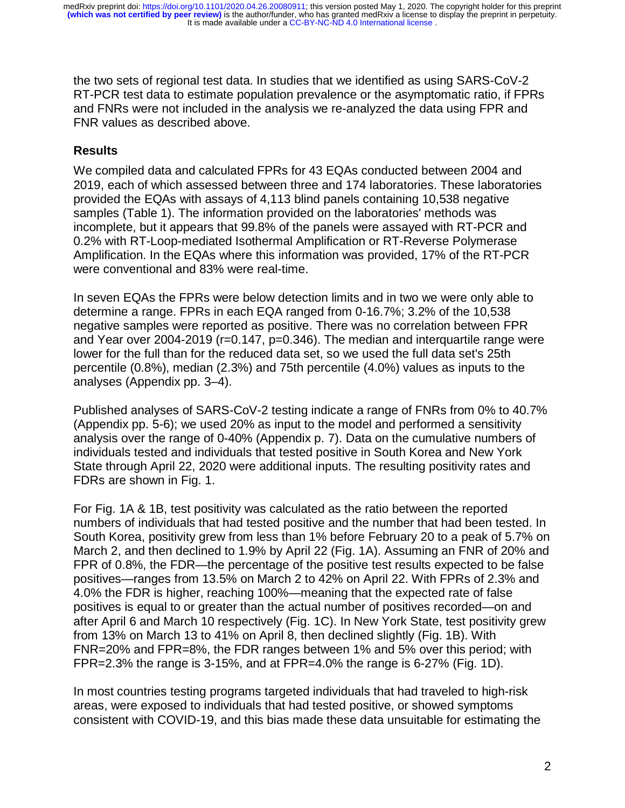the two sets of regional test data. In studies that we identified as using SARS-CoV-2 RT-PCR test data to estimate population prevalence or the asymptomatic ratio, if FPRs and FNRs were not included in the analysis we re-analyzed the data using FPR and FNR values as described above.

# **Results**

We compiled data and calculated FPRs for 43 EQAs conducted between 2004 and 2019, each of which assessed between three and 174 laboratories. These laboratories provided the EQAs with assays of 4,113 blind panels containing 10,538 negative samples (Table 1). The information provided on the laboratories' methods was incomplete, but it appears that 99.8% of the panels were assayed with RT-PCR and 0.2% with RT-Loop-mediated Isothermal Amplification or RT-Reverse Polymerase Amplification. In the EQAs where this information was provided, 17% of the RT-PCR were conventional and 83% were real-time.

In seven EQAs the FPRs were below detection limits and in two we were only able to determine a range. FPRs in each EQA ranged from 0-16.7%; 3.2% of the 10,538 negative samples were reported as positive. There was no correlation between FPR and Year over 2004-2019 (r=0.147, p=0.346). The median and interquartile range were lower for the full than for the reduced data set, so we used the full data set's 25th percentile (0.8%), median (2.3%) and 75th percentile (4.0%) values as inputs to the analyses (Appendix pp. 3–4).

Published analyses of SARS-CoV-2 testing indicate a range of FNRs from 0% to 40.7% (Appendix pp. 5-6); we used 20% as input to the model and performed a sensitivity analysis over the range of 0-40% (Appendix p. 7). Data on the cumulative numbers of individuals tested and individuals that tested positive in South Korea and New York State through April 22, 2020 were additional inputs. The resulting positivity rates and FDRs are shown in Fig. 1.

For Fig. 1A & 1B, test positivity was calculated as the ratio between the reported numbers of individuals that had tested positive and the number that had been tested. In South Korea, positivity grew from less than 1% before February 20 to a peak of 5.7% on March 2, and then declined to 1.9% by April 22 (Fig. 1A). Assuming an FNR of 20% and FPR of 0.8%, the FDR—the percentage of the positive test results expected to be false positives—ranges from 13.5% on March 2 to 42% on April 22. With FPRs of 2.3% and 4.0% the FDR is higher, reaching 100%—meaning that the expected rate of false positives is equal to or greater than the actual number of positives recorded—on and after April 6 and March 10 respectively (Fig. 1C). In New York State, test positivity grew from 13% on March 13 to 41% on April 8, then declined slightly (Fig. 1B). With FNR=20% and FPR=8%, the FDR ranges between 1% and 5% over this period; with FPR=2.3% the range is 3-15%, and at FPR=4.0% the range is 6-27% (Fig. 1D).

In most countries testing programs targeted individuals that had traveled to high-risk areas, were exposed to individuals that had tested positive, or showed symptoms consistent with COVID-19, and this bias made these data unsuitable for estimating the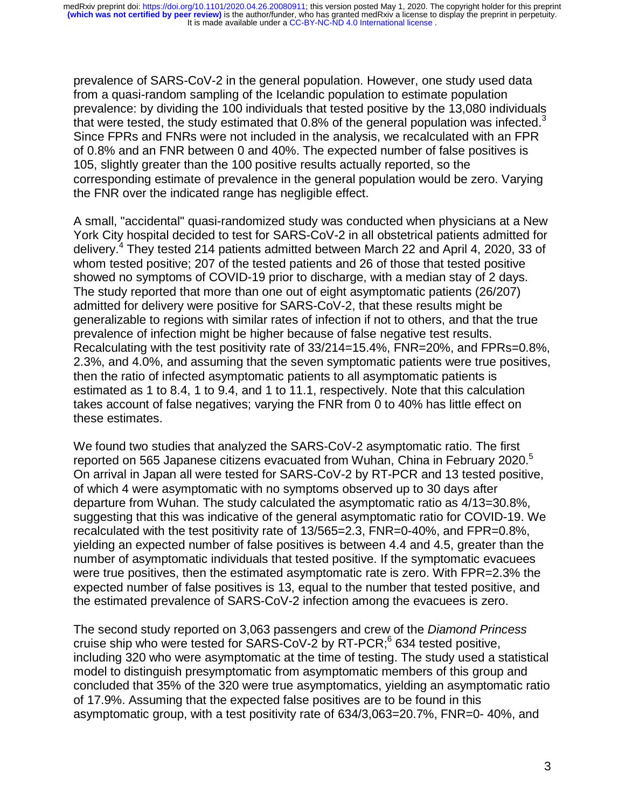prevalence of SARS-CoV-2 in the general population. However, one study used data from a quasi-random sampling of the Icelandic population to estimate population prevalence: by dividing the 100 individuals that tested positive by the 13,080 individuals that were tested, the study estimated that  $0.8\%$  of the general population was infected.<sup>3</sup> Since FPRs and FNRs were not included in the analysis, we recalculated with an FPR of 0.8% and an FNR between 0 and 40%. The expected number of false positives is 105, slightly greater than the 100 positive results actually reported, so the corresponding estimate of prevalence in the general population would be zero. Varying the FNR over the indicated range has negligible effect.

A small, "accidental" quasi-randomized study was conducted when physicians at a New York City hospital decided to test for SARS-CoV-2 in all obstetrical patients admitted for delivery.<sup>4</sup> They tested 214 patients admitted between March 22 and April 4, 2020, 33 of whom tested positive; 207 of the tested patients and 26 of those that tested positive showed no symptoms of COVID-19 prior to discharge, with a median stay of 2 days. The study reported that more than one out of eight asymptomatic patients (26/207) admitted for delivery were positive for SARS-CoV-2, that these results might be generalizable to regions with similar rates of infection if not to others, and that the true prevalence of infection might be higher because of false negative test results. Recalculating with the test positivity rate of 33/214=15.4%, FNR=20%, and FPRs=0.8%, 2.3%, and 4.0%, and assuming that the seven symptomatic patients were true positives, then the ratio of infected asymptomatic patients to all asymptomatic patients is estimated as 1 to 8.4, 1 to 9.4, and 1 to 11.1, respectively. Note that this calculation takes account of false negatives; varying the FNR from 0 to 40% has little effect on these estimates.

We found two studies that analyzed the SARS-CoV-2 asymptomatic ratio. The first reported on 565 Japanese citizens evacuated from Wuhan, China in February 2020.<sup>5</sup> On arrival in Japan all were tested for SARS-CoV-2 by RT-PCR and 13 tested positive, of which 4 were asymptomatic with no symptoms observed up to 30 days after departure from Wuhan. The study calculated the asymptomatic ratio as 4/13=30.8%, suggesting that this was indicative of the general asymptomatic ratio for COVID-19. We recalculated with the test positivity rate of 13/565=2.3, FNR=0-40%, and FPR=0.8%, yielding an expected number of false positives is between 4.4 and 4.5, greater than the number of asymptomatic individuals that tested positive. If the symptomatic evacuees were true positives, then the estimated asymptomatic rate is zero. With FPR=2.3% the expected number of false positives is 13, equal to the number that tested positive, and the estimated prevalence of SARS-CoV-2 infection among the evacuees is zero.

The second study reported on 3,063 passengers and crew of the *Diamond Princess* cruise ship who were tested for SARS-CoV-2 by RT-PCR;<sup>6</sup> 634 tested positive, including 320 who were asymptomatic at the time of testing. The study used a statistical model to distinguish presymptomatic from asymptomatic members of this group and concluded that 35% of the 320 were true asymptomatics, yielding an asymptomatic ratio of 17.9%. Assuming that the expected false positives are to be found in this asymptomatic group, with a test positivity rate of 634/3,063=20.7%, FNR=0- 40%, and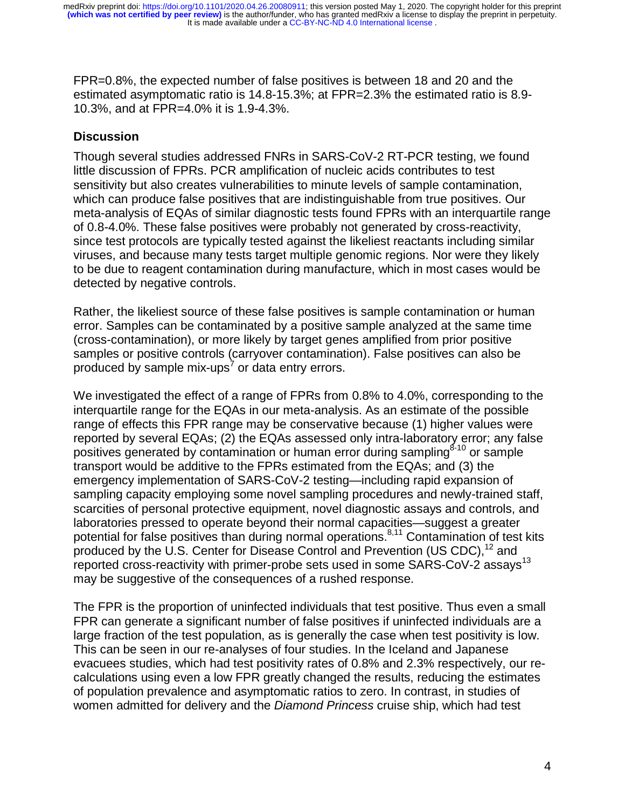FPR=0.8%, the expected number of false positives is between 18 and 20 and the estimated asymptomatic ratio is 14.8-15.3%; at FPR=2.3% the estimated ratio is 8.9- 10.3%, and at FPR=4.0% it is 1.9-4.3%.

# **Discussion**

Though several studies addressed FNRs in SARS-CoV-2 RT-PCR testing, we found little discussion of FPRs. PCR amplification of nucleic acids contributes to test sensitivity but also creates vulnerabilities to minute levels of sample contamination, which can produce false positives that are indistinguishable from true positives. Our meta-analysis of EQAs of similar diagnostic tests found FPRs with an interquartile range of 0.8-4.0%. These false positives were probably not generated by cross-reactivity, since test protocols are typically tested against the likeliest reactants including similar viruses, and because many tests target multiple genomic regions. Nor were they likely to be due to reagent contamination during manufacture, which in most cases would be detected by negative controls.

Rather, the likeliest source of these false positives is sample contamination or human error. Samples can be contaminated by a positive sample analyzed at the same time (cross-contamination), or more likely by target genes amplified from prior positive samples or positive controls (carryover contamination). False positives can also be produced by sample mix-ups<sup>7</sup> or data entry errors.

We investigated the effect of a range of FPRs from 0.8% to 4.0%, corresponding to the interquartile range for the EQAs in our meta-analysis. As an estimate of the possible range of effects this FPR range may be conservative because (1) higher values were reported by several EQAs; (2) the EQAs assessed only intra-laboratory error; any false positives generated by contamination or human error during sampling  $8-10$  or sample transport would be additive to the FPRs estimated from the EQAs; and (3) the emergency implementation of SARS-CoV-2 testing—including rapid expansion of sampling capacity employing some novel sampling procedures and newly-trained staff, scarcities of personal protective equipment, novel diagnostic assays and controls, and laboratories pressed to operate beyond their normal capacities—suggest a greater potential for false positives than during normal operations.<sup>8,11</sup> Contamination of test kits produced by the U.S. Center for Disease Control and Prevention (US CDC),  $^{12}$  and reported cross-reactivity with primer-probe sets used in some SARS-CoV-2 assays<sup>13</sup> may be suggestive of the consequences of a rushed response.

The FPR is the proportion of uninfected individuals that test positive. Thus even a small FPR can generate a significant number of false positives if uninfected individuals are a large fraction of the test population, as is generally the case when test positivity is low. This can be seen in our re-analyses of four studies. In the Iceland and Japanese evacuees studies, which had test positivity rates of 0.8% and 2.3% respectively, our recalculations using even a low FPR greatly changed the results, reducing the estimates of population prevalence and asymptomatic ratios to zero. In contrast, in studies of women admitted for delivery and the *Diamond Princess* cruise ship, which had test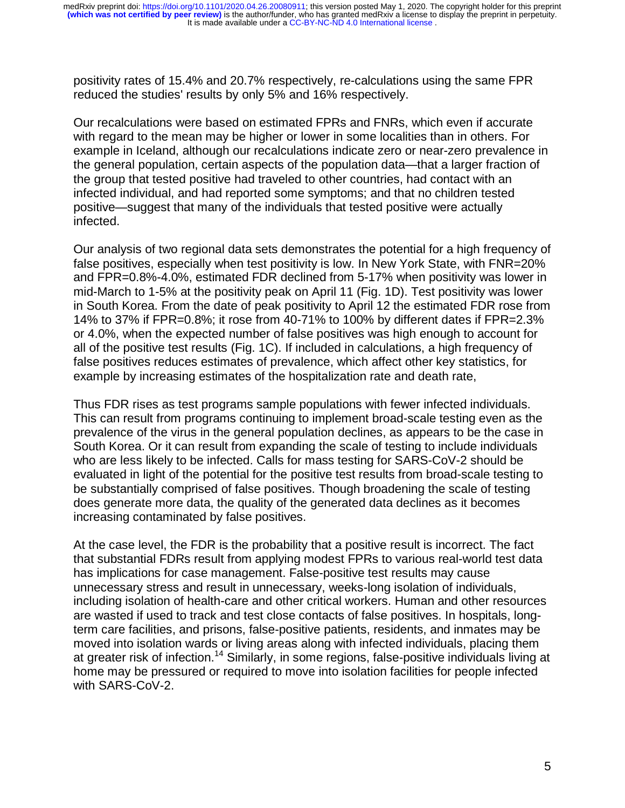positivity rates of 15.4% and 20.7% respectively, re-calculations using the same FPR reduced the studies' results by only 5% and 16% respectively.

Our recalculations were based on estimated FPRs and FNRs, which even if accurate with regard to the mean may be higher or lower in some localities than in others. For example in Iceland, although our recalculations indicate zero or near-zero prevalence in the general population, certain aspects of the population data—that a larger fraction of the group that tested positive had traveled to other countries, had contact with an infected individual, and had reported some symptoms; and that no children tested positive—suggest that many of the individuals that tested positive were actually infected.

Our analysis of two regional data sets demonstrates the potential for a high frequency of false positives, especially when test positivity is low. In New York State, with FNR=20% and FPR=0.8%-4.0%, estimated FDR declined from 5-17% when positivity was lower in mid-March to 1-5% at the positivity peak on April 11 (Fig. 1D). Test positivity was lower in South Korea. From the date of peak positivity to April 12 the estimated FDR rose from 14% to 37% if FPR=0.8%; it rose from 40-71% to 100% by different dates if FPR=2.3% or 4.0%, when the expected number of false positives was high enough to account for all of the positive test results (Fig. 1C). If included in calculations, a high frequency of false positives reduces estimates of prevalence, which affect other key statistics, for example by increasing estimates of the hospitalization rate and death rate,

Thus FDR rises as test programs sample populations with fewer infected individuals. This can result from programs continuing to implement broad-scale testing even as the prevalence of the virus in the general population declines, as appears to be the case in South Korea. Or it can result from expanding the scale of testing to include individuals who are less likely to be infected. Calls for mass testing for SARS-CoV-2 should be evaluated in light of the potential for the positive test results from broad-scale testing to be substantially comprised of false positives. Though broadening the scale of testing does generate more data, the quality of the generated data declines as it becomes increasing contaminated by false positives.

At the case level, the FDR is the probability that a positive result is incorrect. The fact that substantial FDRs result from applying modest FPRs to various real-world test data has implications for case management. False-positive test results may cause unnecessary stress and result in unnecessary, weeks-long isolation of individuals, including isolation of health-care and other critical workers. Human and other resources are wasted if used to track and test close contacts of false positives. In hospitals, longterm care facilities, and prisons, false-positive patients, residents, and inmates may be moved into isolation wards or living areas along with infected individuals, placing them at greater risk of infection.<sup>14</sup> Similarly, in some regions, false-positive individuals living at home may be pressured or required to move into isolation facilities for people infected with SARS-CoV-2.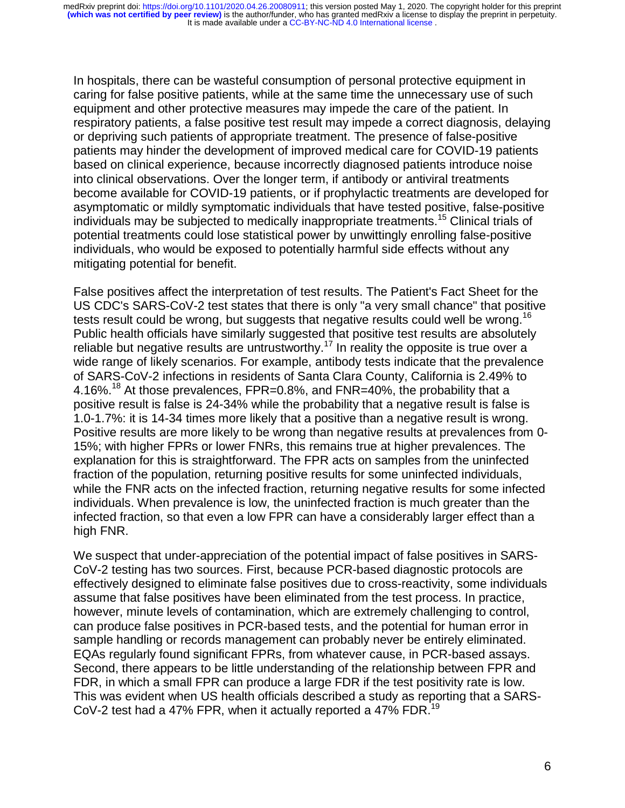In hospitals, there can be wasteful consumption of personal protective equipment in caring for false positive patients, while at the same time the unnecessary use of such equipment and other protective measures may impede the care of the patient. In respiratory patients, a false positive test result may impede a correct diagnosis, delaying or depriving such patients of appropriate treatment. The presence of false-positive patients may hinder the development of improved medical care for COVID-19 patients based on clinical experience, because incorrectly diagnosed patients introduce noise into clinical observations. Over the longer term, if antibody or antiviral treatments become available for COVID-19 patients, or if prophylactic treatments are developed for asymptomatic or mildly symptomatic individuals that have tested positive, false-positive individuals may be subjected to medically inappropriate treatments.15 Clinical trials of potential treatments could lose statistical power by unwittingly enrolling false-positive individuals, who would be exposed to potentially harmful side effects without any mitigating potential for benefit.

False positives affect the interpretation of test results. The Patient's Fact Sheet for the US CDC's SARS-CoV-2 test states that there is only "a very small chance" that positive tests result could be wrong, but suggests that negative results could well be wrong.<sup>16</sup> Public health officials have similarly suggested that positive test results are absolutely reliable but negative results are untrustworthy.<sup>17</sup> In reality the opposite is true over a wide range of likely scenarios. For example, antibody tests indicate that the prevalence of SARS-CoV-2 infections in residents of Santa Clara County, California is 2.49% to 4.16%.18 At those prevalences, FPR=0.8%, and FNR=40%, the probability that a positive result is false is 24-34% while the probability that a negative result is false is 1.0-1.7%: it is 14-34 times more likely that a positive than a negative result is wrong. Positive results are more likely to be wrong than negative results at prevalences from 0- 15%; with higher FPRs or lower FNRs, this remains true at higher prevalences. The explanation for this is straightforward. The FPR acts on samples from the uninfected fraction of the population, returning positive results for some uninfected individuals, while the FNR acts on the infected fraction, returning negative results for some infected individuals. When prevalence is low, the uninfected fraction is much greater than the infected fraction, so that even a low FPR can have a considerably larger effect than a high FNR.

We suspect that under-appreciation of the potential impact of false positives in SARS-CoV-2 testing has two sources. First, because PCR-based diagnostic protocols are effectively designed to eliminate false positives due to cross-reactivity, some individuals assume that false positives have been eliminated from the test process. In practice, however, minute levels of contamination, which are extremely challenging to control, can produce false positives in PCR-based tests, and the potential for human error in sample handling or records management can probably never be entirely eliminated. EQAs regularly found significant FPRs, from whatever cause, in PCR-based assays. Second, there appears to be little understanding of the relationship between FPR and FDR, in which a small FPR can produce a large FDR if the test positivity rate is low. This was evident when US health officials described a study as reporting that a SARS-CoV-2 test had a 47% FPR, when it actually reported a 47% FDR.<sup>19</sup>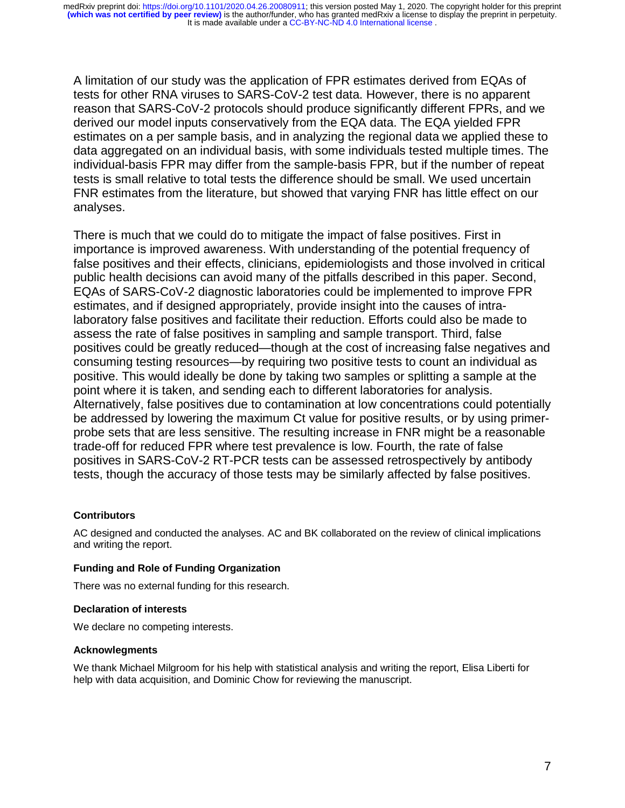A limitation of our study was the application of FPR estimates derived from EQAs of tests for other RNA viruses to SARS-CoV-2 test data. However, there is no apparent reason that SARS-CoV-2 protocols should produce significantly different FPRs, and we derived our model inputs conservatively from the EQA data. The EQA yielded FPR estimates on a per sample basis, and in analyzing the regional data we applied these to data aggregated on an individual basis, with some individuals tested multiple times. The individual-basis FPR may differ from the sample-basis FPR, but if the number of repeat tests is small relative to total tests the difference should be small. We used uncertain FNR estimates from the literature, but showed that varying FNR has little effect on our analyses.

There is much that we could do to mitigate the impact of false positives. First in importance is improved awareness. With understanding of the potential frequency of false positives and their effects, clinicians, epidemiologists and those involved in critical public health decisions can avoid many of the pitfalls described in this paper. Second, EQAs of SARS-CoV-2 diagnostic laboratories could be implemented to improve FPR estimates, and if designed appropriately, provide insight into the causes of intralaboratory false positives and facilitate their reduction. Efforts could also be made to assess the rate of false positives in sampling and sample transport. Third, false positives could be greatly reduced—though at the cost of increasing false negatives and consuming testing resources—by requiring two positive tests to count an individual as positive. This would ideally be done by taking two samples or splitting a sample at the point where it is taken, and sending each to different laboratories for analysis. Alternatively, false positives due to contamination at low concentrations could potentially be addressed by lowering the maximum Ct value for positive results, or by using primerprobe sets that are less sensitive. The resulting increase in FNR might be a reasonable trade-off for reduced FPR where test prevalence is low. Fourth, the rate of false positives in SARS-CoV-2 RT-PCR tests can be assessed retrospectively by antibody tests, though the accuracy of those tests may be similarly affected by false positives.

### **Contributors**

AC designed and conducted the analyses. AC and BK collaborated on the review of clinical implications and writing the report.

### **Funding and Role of Funding Organization**

There was no external funding for this research.

### **Declaration of interests**

We declare no competing interests.

### **Acknowlegments**

We thank Michael Milgroom for his help with statistical analysis and writing the report, Elisa Liberti for help with data acquisition, and Dominic Chow for reviewing the manuscript.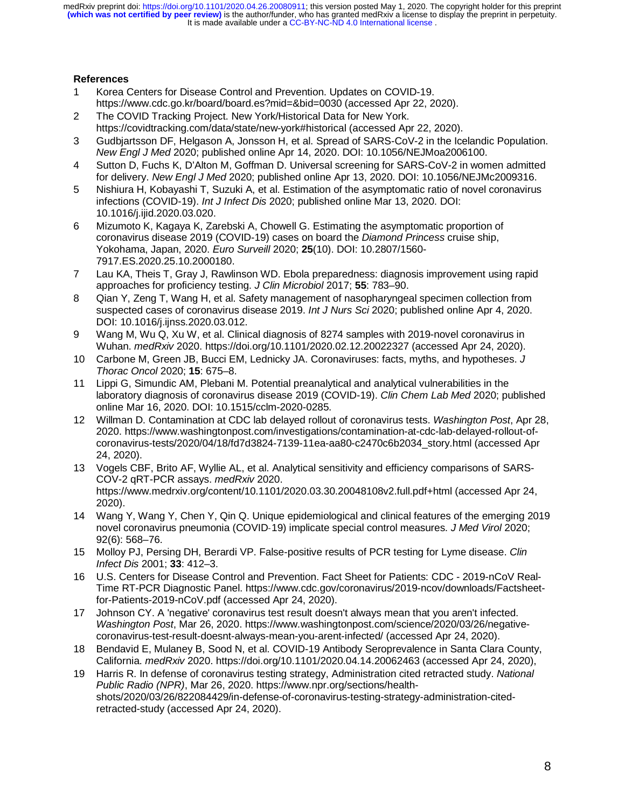## **References**

- 1 Korea Centers for Disease Control and Prevention. Updates on COVID-19. https://www.cdc.go.kr/board/board.es?mid=&bid=0030 (accessed Apr 22, 2020).
- 2 The COVID Tracking Project. New York/Historical Data for New York. https://covidtracking.com/data/state/new-york#historical (accessed Apr 22, 2020).
- 3 Gudbjartsson DF, Helgason A, Jonsson H, et al. Spread of SARS-CoV-2 in the Icelandic Population. *New Engl J Med* 2020; published online Apr 14, 2020. DOI: 10.1056/NEJMoa2006100.
- 4 Sutton D, Fuchs K, D'Alton M, Goffman D. Universal screening for SARS-CoV-2 in women admitted for delivery. *New Engl J Med* 2020; published online Apr 13, 2020. DOI: 10.1056/NEJMc2009316.
- 5 Nishiura H, Kobayashi T, Suzuki A, et al. Estimation of the asymptomatic ratio of novel coronavirus infections (COVID-19). *Int J Infect Dis* 2020; published online Mar 13, 2020. DOI: 10.1016/j.ijid.2020.03.020.
- 6 Mizumoto K, Kagaya K, Zarebski A, Chowell G. Estimating the asymptomatic proportion of coronavirus disease 2019 (COVID-19) cases on board the *Diamond Princess* cruise ship, Yokohama, Japan, 2020. *Euro Surveill* 2020; **25**(10). DOI: 10.2807/1560- 7917.ES.2020.25.10.2000180.
- 7 Lau KA, Theis T, Gray J, Rawlinson WD. Ebola preparedness: diagnosis improvement using rapid approaches for proficiency testing. *J Clin Microbiol* 2017; **55**: 783–90.
- 8 Qian Y, Zeng T, Wang H, et al. Safety management of nasopharyngeal specimen collection from suspected cases of coronavirus disease 2019. *Int J Nurs Sci* 2020; published online Apr 4, 2020. DOI: 10.1016/j.ijnss.2020.03.012.
- 9 Wang M, Wu Q, Xu W, et al. Clinical diagnosis of 8274 samples with 2019-novel coronavirus in Wuhan. *medRxiv* 2020. https://doi.org/10.1101/2020.02.12.20022327 (accessed Apr 24, 2020).
- 10 Carbone M, Green JB, Bucci EM, Lednicky JA. Coronaviruses: facts, myths, and hypotheses. *J Thorac Oncol* 2020; **15**: 675–8.
- 11 Lippi G, Simundic AM, Plebani M. Potential preanalytical and analytical vulnerabilities in the laboratory diagnosis of coronavirus disease 2019 (COVID-19). *Clin Chem Lab Med* 2020; published online Mar 16, 2020. DOI: 10.1515/cclm-2020-0285.
- 12 Willman D. Contamination at CDC lab delayed rollout of coronavirus tests. *Washington Post*, Apr 28, 2020. https://www.washingtonpost.com/investigations/contamination-at-cdc-lab-delayed-rollout-ofcoronavirus-tests/2020/04/18/fd7d3824-7139-11ea-aa80-c2470c6b2034\_story.html (accessed Apr 24, 2020).
- 13 Vogels CBF, Brito AF, Wyllie AL, et al. Analytical sensitivity and efficiency comparisons of SARS-COV-2 qRT-PCR assays. *medRxiv* 2020. https://www.medrxiv.org/content/10.1101/2020.03.30.20048108v2.full.pdf+html (accessed Apr 24, 2020).
- 14 Wang Y, Wang Y, Chen Y, Qin Q. Unique epidemiological and clinical features of the emerging 2019 novel coronavirus pneumonia (COVID-19) implicate special control measures. J Med Virol 2020; 92(6): 568–76.
- ‐19) implicate special control measures. *J Med Virol* 2020; 15 Molloy PJ, Persing DH, Berardi VP. False-positive results of PCR testing for Lyme disease. *Clin Infect Dis* 2001; **33**: 412–3.
- 16 U.S. Centers for Disease Control and Prevention. Fact Sheet for Patients: CDC 2019-nCoV Real-Time RT-PCR Diagnostic Panel. https://www.cdc.gov/coronavirus/2019-ncov/downloads/Factsheetfor-Patients-2019-nCoV.pdf (accessed Apr 24, 2020).
- 17 Johnson CY. A 'negative' coronavirus test result doesn't always mean that you aren't infected. *Washington Post*, Mar 26, 2020. https://www.washingtonpost.com/science/2020/03/26/negativecoronavirus-test-result-doesnt-always-mean-you-arent-infected/ (accessed Apr 24, 2020).
- 18 Bendavid E, Mulaney B, Sood N, et al. COVID-19 Antibody Seroprevalence in Santa Clara County, California. *medRxiv* 2020. https://doi.org/10.1101/2020.04.14.20062463 (accessed Apr 24, 2020),
- 19 Harris R. In defense of coronavirus testing strategy, Administration cited retracted study. *National Public Radio (NPR)*, Mar 26, 2020. https://www.npr.org/sections/healthshots/2020/03/26/822084429/in-defense-of-coronavirus-testing-strategy-administration-citedretracted-study (accessed Apr 24, 2020).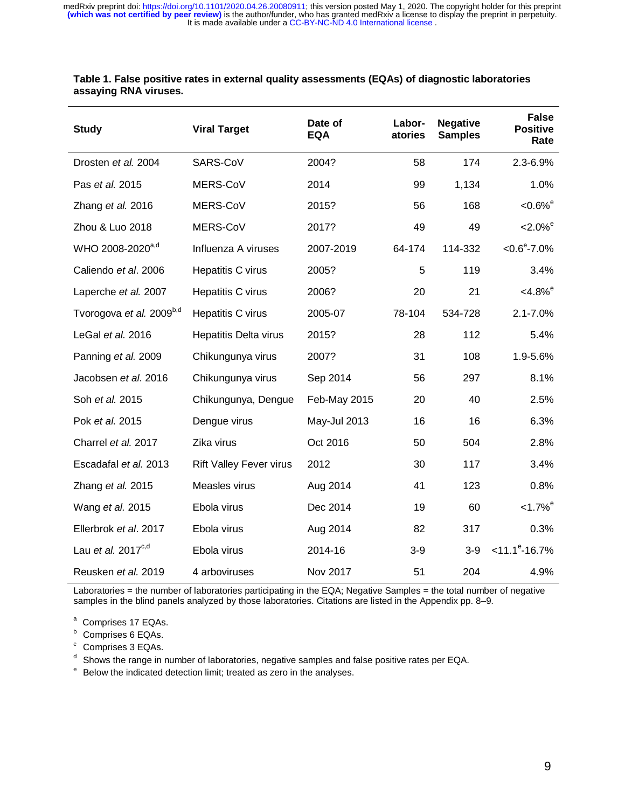| <b>Study</b>                         | <b>Viral Target</b>            | Date of<br><b>EQA</b> | Labor-<br>atories | <b>Negative</b><br><b>Samples</b> | <b>False</b><br><b>Positive</b><br>Rate |
|--------------------------------------|--------------------------------|-----------------------|-------------------|-----------------------------------|-----------------------------------------|
| Drosten et al. 2004                  | SARS-CoV                       | 2004?                 | 58                | 174                               | 2.3-6.9%                                |
| Pas et al. 2015                      | MERS-CoV                       | 2014                  | 99                | 1,134                             | 1.0%                                    |
| Zhang et al. 2016                    | MERS-CoV                       | 2015?                 | 56                | 168                               | $< 0.6\%$ <sup>e</sup>                  |
| Zhou & Luo 2018                      | MERS-CoV                       | 2017?                 | 49                | 49                                | $-2.0\%$ <sup>e</sup>                   |
| WHO 2008-2020 <sup>a,d</sup>         | Influenza A viruses            | 2007-2019             | 64-174            | 114-332                           | $< 0.6^{\circ}$ -7.0%                   |
| Caliendo et al. 2006                 | Hepatitis C virus              | 2005?                 | 5                 | 119                               | 3.4%                                    |
| Laperche et al. 2007                 | Hepatitis C virus              | 2006?                 | 20                | 21                                | $< 4.8\%$ <sup>e</sup>                  |
| Tvorogova et al. 2009 <sup>b,d</sup> | Hepatitis C virus              | 2005-07               | 78-104            | 534-728                           | $2.1 - 7.0%$                            |
| LeGal et al. 2016                    | Hepatitis Delta virus          | 2015?                 | 28                | 112                               | 5.4%                                    |
| Panning et al. 2009                  | Chikungunya virus              | 2007?                 | 31                | 108                               | 1.9-5.6%                                |
| Jacobsen et al. 2016                 | Chikungunya virus              | Sep 2014              | 56                | 297                               | 8.1%                                    |
| Soh et al. 2015                      | Chikungunya, Dengue            | Feb-May 2015          | 20                | 40                                | 2.5%                                    |
| Pok et al. 2015                      | Dengue virus                   | May-Jul 2013          | 16                | 16                                | 6.3%                                    |
| Charrel et al. 2017                  | Zika virus                     | Oct 2016              | 50                | 504                               | 2.8%                                    |
| Escadafal et al. 2013                | <b>Rift Valley Fever virus</b> | 2012                  | 30                | 117                               | 3.4%                                    |
| Zhang et al. 2015                    | Measles virus                  | Aug 2014              | 41                | 123                               | 0.8%                                    |
| Wang et al. 2015                     | Ebola virus                    | Dec 2014              | 19                | 60                                | $< 1.7\%$ <sup>e</sup>                  |
| Ellerbrok et al. 2017                | Ebola virus                    | Aug 2014              | 82                | 317                               | 0.3%                                    |
| Lau et al. $2017^{c,d}$              | Ebola virus                    | 2014-16               | $3-9$             | $3-9$                             | $<$ 11.1 $^{\circ}$ -16.7%              |
| Reusken et al. 2019                  | 4 arboviruses                  | Nov 2017              | 51                | 204                               | 4.9%                                    |

**Table 1. False positive rates in external quality assessments (EQAs) of diagnostic laboratories assaying RNA viruses.**

Laboratories = the number of laboratories participating in the EQA; Negative Samples = the total number of negative samples in the blind panels analyzed by those laboratories. Citations are listed in the Appendix pp. 8–9.

- <sup>a</sup> Comprises 17 EQAs.
- b Comprises 6 EQAs.
- <sup>c</sup> Comprises 3 EQAs.

<sup>d</sup> Shows the range in number of laboratories, negative samples and false positive rates per EQA.

<sup>e</sup> Below the indicated detection limit; treated as zero in the analyses.